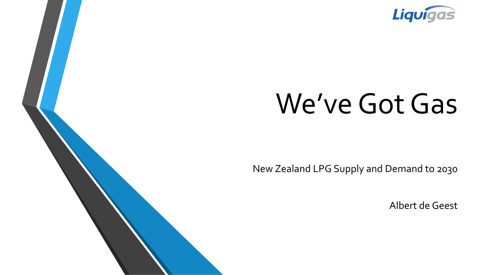

# We've Got Gas

New Zealand LPG Supply and Demand to 2030

Albert de Geest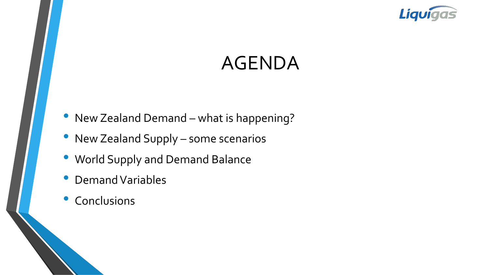

### AGENDA

- New Zealand Demand what is happening?
- New Zealand Supply some scenarios
- World Supply and Demand Balance
- Demand Variables
- **Conclusions**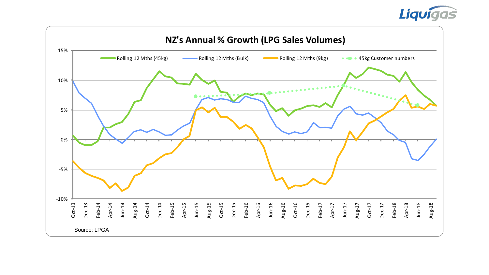

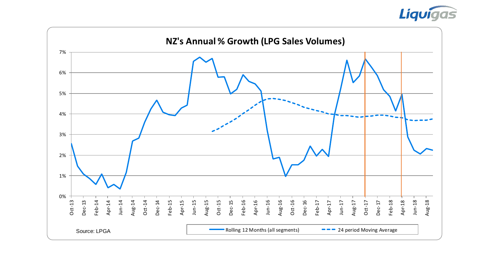

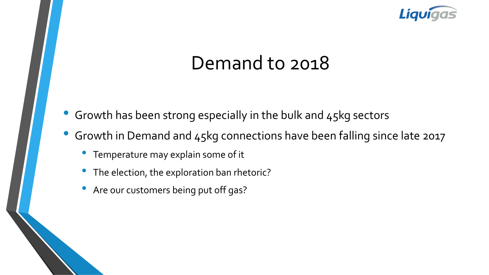

### Demand to 2018

- Growth has been strong especially in the bulk and 45kg sectors
- Growth in Demand and 45kg connections have been falling since late 2017
	- Temperature may explain some of it
	- The election, the exploration ban rhetoric?
	- Are our customers being put off gas?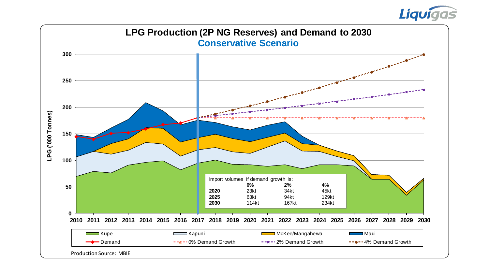

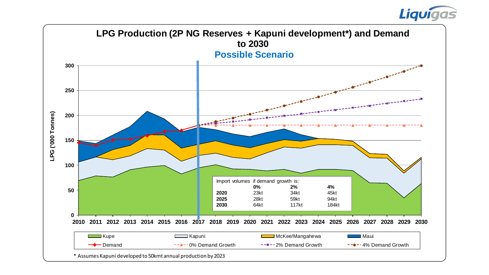### Liquigas

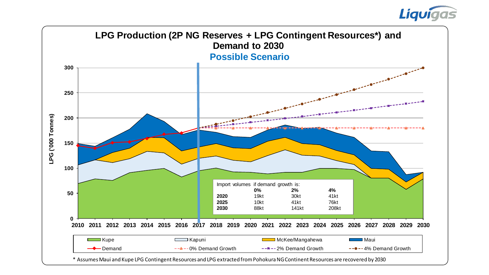### Liquigas

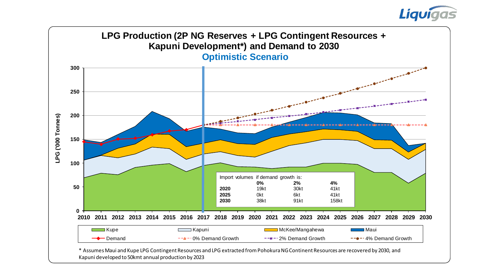

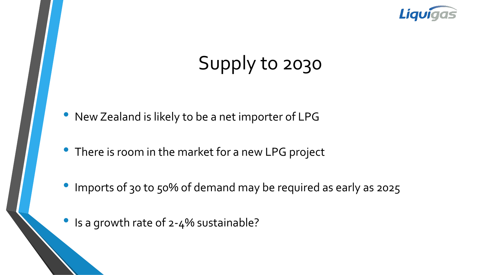

# Supply to 2030

- New Zealand is likely to be a net importer of LPG
- There is room in the market for a new LPG project
- Imports of 30 to 50% of demand may be required as early as 2025
- Is a growth rate of 2-4% sustainable?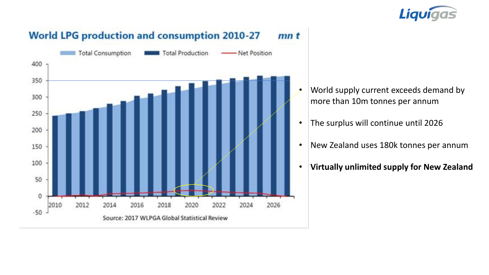



- World supply current exceeds demand by more than 10m tonnes per annum
	- The surplus will continue until 2026
	- New Zealand uses 180k tonnes per annum
	- **Virtually unlimited supply for New Zealand**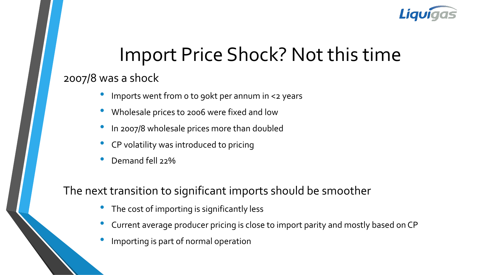

## Import Price Shock? Not this time

#### 2007/8 was a shock

- Imports went from 0 to 90kt per annum in <2 years
- Wholesale prices to 2006 were fixed and low
- In 2007/8 wholesale prices more than doubled
- CP volatility was introduced to pricing
- Demand fell 22%

#### The next transition to significant imports should be smoother

- The cost of importing is significantly less
- Current average producer pricing is close to import parity and mostly based on CP
- Importing is part of normal operation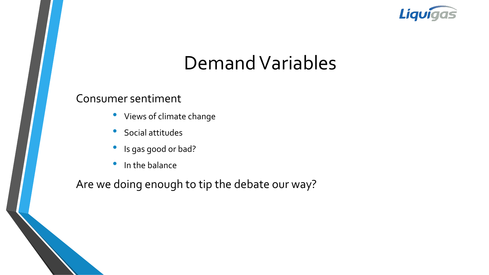

### Demand Variables

#### Consumer sentiment

- Views of climate change
- Social attitudes
- Is gas good or bad?
- In the balance

Are we doing enough to tip the debate our way?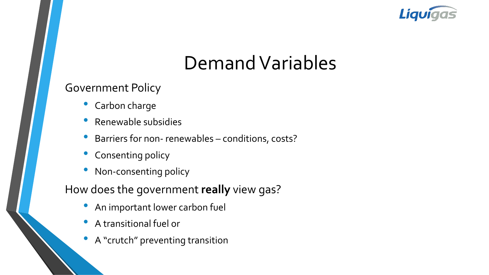

### Demand Variables

#### Government Policy

- Carbon charge
- Renewable subsidies
- Barriers for non- renewables conditions, costs?
- Consenting policy
- Non-consenting policy

How does the government **really** view gas?

- An important lower carbon fuel
- A transitional fuel or
- A "crutch" preventing transition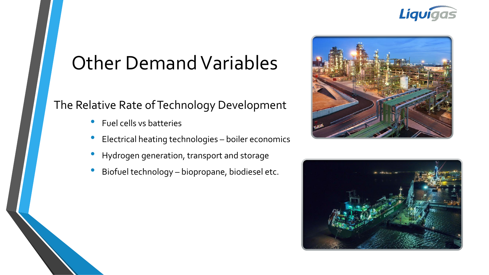

## Other Demand Variables

#### The Relative Rate of Technology Development

- Fuel cells vs batteries
- Electrical heating technologies boiler economics
- Hydrogen generation, transport and storage
- Biofuel technology biopropane, biodiesel etc.